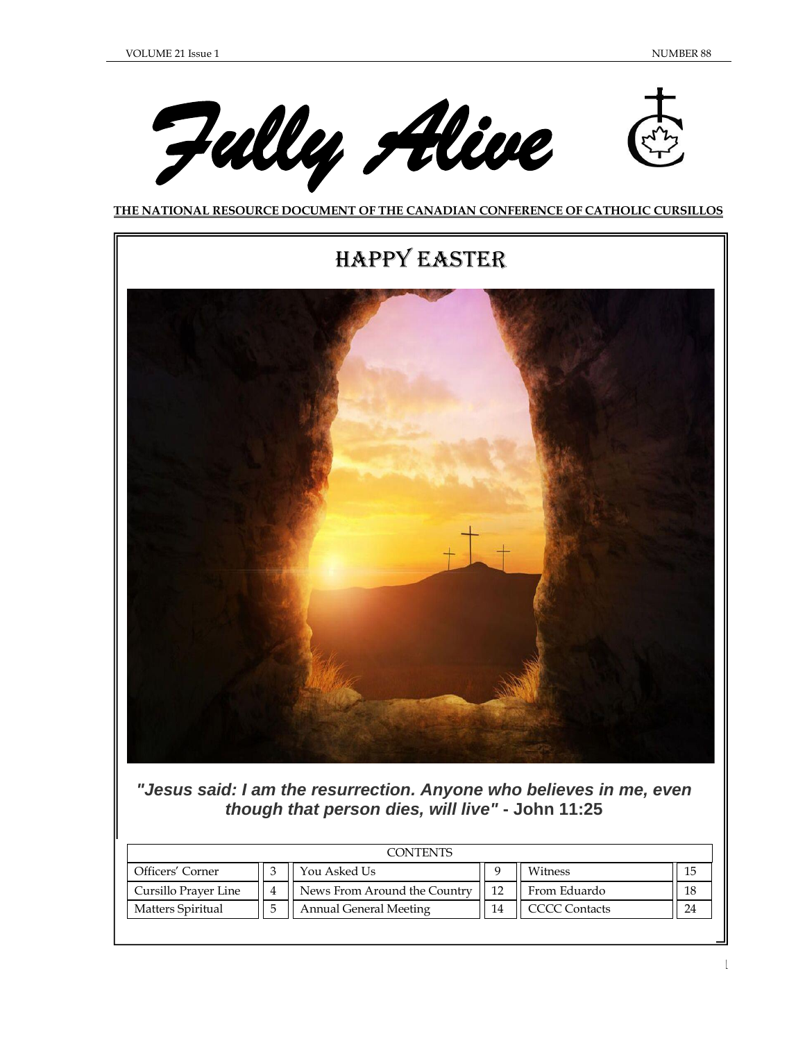1





# Happy Easter



*"Jesus said: I am the resurrection. Anyone who believes in me, even though that person dies, will live"* **- John 11:25**

| CONTENTS                 |  |                               |    |                      |    |  |
|--------------------------|--|-------------------------------|----|----------------------|----|--|
| Officers' Corner         |  | You Asked Us                  |    | Witness              | 15 |  |
| Cursillo Prayer Line     |  | News From Around the Country  | 12 | From Eduardo         | 18 |  |
| <b>Matters Spiritual</b> |  | <b>Annual General Meeting</b> | 14 | <b>CCCC</b> Contacts | 24 |  |
|                          |  |                               |    |                      |    |  |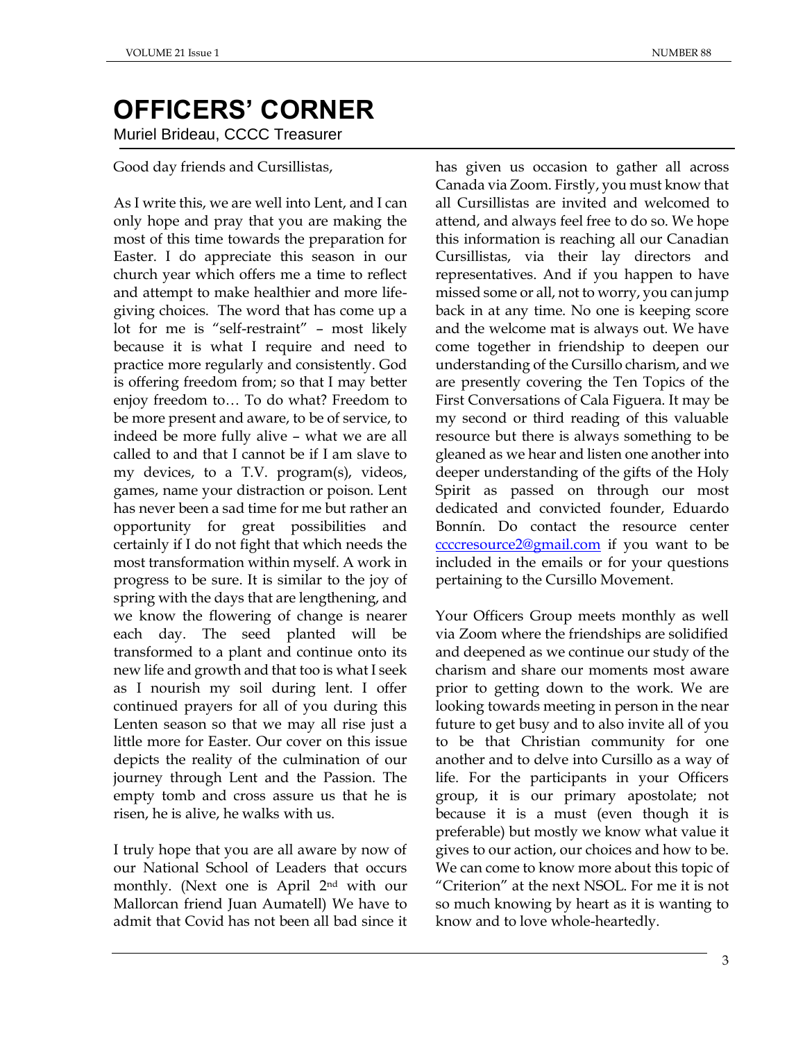# **OFFICERS' CORNER** Muriel Brideau, CCCC Treasurer

Good day friends and Cursillistas,

As I write this, we are well into Lent, and I can only hope and pray that you are making the most of this time towards the preparation for Easter. I do appreciate this season in our church year which offers me a time to reflect and attempt to make healthier and more lifegiving choices. The word that has come up a lot for me is "self-restraint" – most likely because it is what I require and need to practice more regularly and consistently. God is offering freedom from; so that I may better enjoy freedom to… To do what? Freedom to be more present and aware, to be of service, to indeed be more fully alive – what we are all called to and that I cannot be if I am slave to my devices, to a T.V. program(s), videos, games, name your distraction or poison. Lent has never been a sad time for me but rather an opportunity for great possibilities and certainly if I do not fight that which needs the most transformation within myself. A work in progress to be sure. It is similar to the joy of spring with the days that are lengthening, and we know the flowering of change is nearer each day. The seed planted will be transformed to a plant and continue onto its new life and growth and that too is what I seek as I nourish my soil during lent. I offer continued prayers for all of you during this Lenten season so that we may all rise just a little more for Easter. Our cover on this issue depicts the reality of the culmination of our journey through Lent and the Passion. The empty tomb and cross assure us that he is risen, he is alive, he walks with us.

I truly hope that you are all aware by now of our National School of Leaders that occurs monthly. (Next one is April 2nd with our Mallorcan friend Juan Aumatell) We have to admit that Covid has not been all bad since it has given us occasion to gather all across Canada via Zoom. Firstly, you must know that all Cursillistas are invited and welcomed to attend, and always feel free to do so. We hope this information is reaching all our Canadian Cursillistas, via their lay directors and representatives. And if you happen to have missed some or all, not to worry, you can jump back in at any time. No one is keeping score and the welcome mat is always out. We have come together in friendship to deepen our understanding of the Cursillo charism, and we are presently covering the Ten Topics of the First Conversations of Cala Figuera. It may be my second or third reading of this valuable resource but there is always something to be gleaned as we hear and listen one another into deeper understanding of the gifts of the Holy Spirit as passed on through our most dedicated and convicted founder, Eduardo Bonnín. Do contact the resource center [ccccresource2@gmail.com](about:blank) if you want to be included in the emails or for your questions pertaining to the Cursillo Movement.

Your Officers Group meets monthly as well via Zoom where the friendships are solidified and deepened as we continue our study of the charism and share our moments most aware prior to getting down to the work. We are looking towards meeting in person in the near future to get busy and to also invite all of you to be that Christian community for one another and to delve into Cursillo as a way of life. For the participants in your Officers group, it is our primary apostolate; not because it is a must (even though it is preferable) but mostly we know what value it gives to our action, our choices and how to be. We can come to know more about this topic of "Criterion" at the next NSOL. For me it is not so much knowing by heart as it is wanting to know and to love whole-heartedly.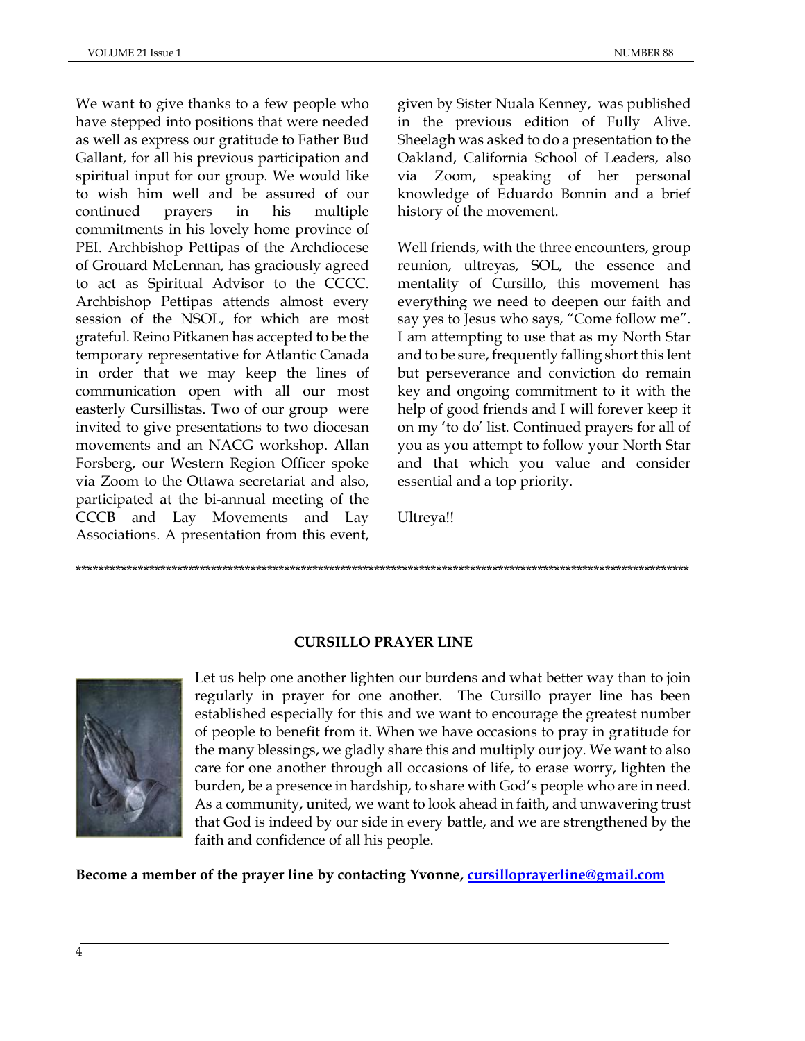We want to give thanks to a few people who have stepped into positions that were needed as well as express our gratitude to Father Bud Gallant, for all his previous participation and spiritual input for our group. We would like to wish him well and be assured of our continued prayers in his multiple commitments in his lovely home province of PEI. Archbishop Pettipas of the Archdiocese of Grouard McLennan, has graciously agreed to act as Spiritual Advisor to the CCCC. Archbishop Pettipas attends almost every session of the NSOL, for which are most grateful. Reino Pitkanen has accepted to be the temporary representative for Atlantic Canada in order that we may keep the lines of communication open with all our most easterly Cursillistas. Two of our group were invited to give presentations to two diocesan movements and an NACG workshop. Allan Forsberg, our Western Region Officer spoke via Zoom to the Ottawa secretariat and also, participated at the bi-annual meeting of the CCCB and Lay Movements and Lay Associations. A presentation from this event,

given by Sister Nuala Kenney, was published in the previous edition of Fully Alive. Sheelagh was asked to do a presentation to the Oakland, California School of Leaders, also via Zoom, speaking of her personal knowledge of Eduardo Bonnin and a brief history of the movement.

Well friends, with the three encounters, group reunion, ultreyas, SOL, the essence and mentality of Cursillo, this movement has everything we need to deepen our faith and say yes to Jesus who says, "Come follow me". I am attempting to use that as my North Star and to be sure, frequently falling short this lent but perseverance and conviction do remain key and ongoing commitment to it with the help of good friends and I will forever keep it on my 'to do' list. Continued prayers for all of you as you attempt to follow your North Star and that which you value and consider essential and a top priority.

Ultreya!!

\*\*\*\*\*\*\*\*\*\*\*\*\*\*\*\*\*\*\*\*\*\*\*\*\*\*\*\*\*\*\*\*\*\*\*\*\*\*\*\*\*\*\*\*\*\*\*\*\*\*\*\*\*\*\*\*\*\*\*\*\*\*\*\*\*\*\*\*\*\*\*\*\*\*\*\*\*\*\*\*\*\*\*\*\*\*\*\*\*\*\*\*\*\*\*\*\*\*\*\*\*\*\*\*\*\*\*\*\*

# **CURSILLO PRAYER LINE**



Let us help one another lighten our burdens and what better way than to join regularly in prayer for one another. The Cursillo prayer line has been established especially for this and we want to encourage the greatest number of people to benefit from it. When we have occasions to pray in gratitude for the many blessings, we gladly share this and multiply our joy. We want to also care for one another through all occasions of life, to erase worry, lighten the burden, be a presence in hardship, to share with God's people who are in need. As a community, united, we want to look ahead in faith, and unwavering trust that God is indeed by our side in every battle, and we are strengthened by the faith and confidence of all his people.

**Become a member of the prayer line by contacting Yvonne, [cursilloprayerline@gmail.com](about:blank)**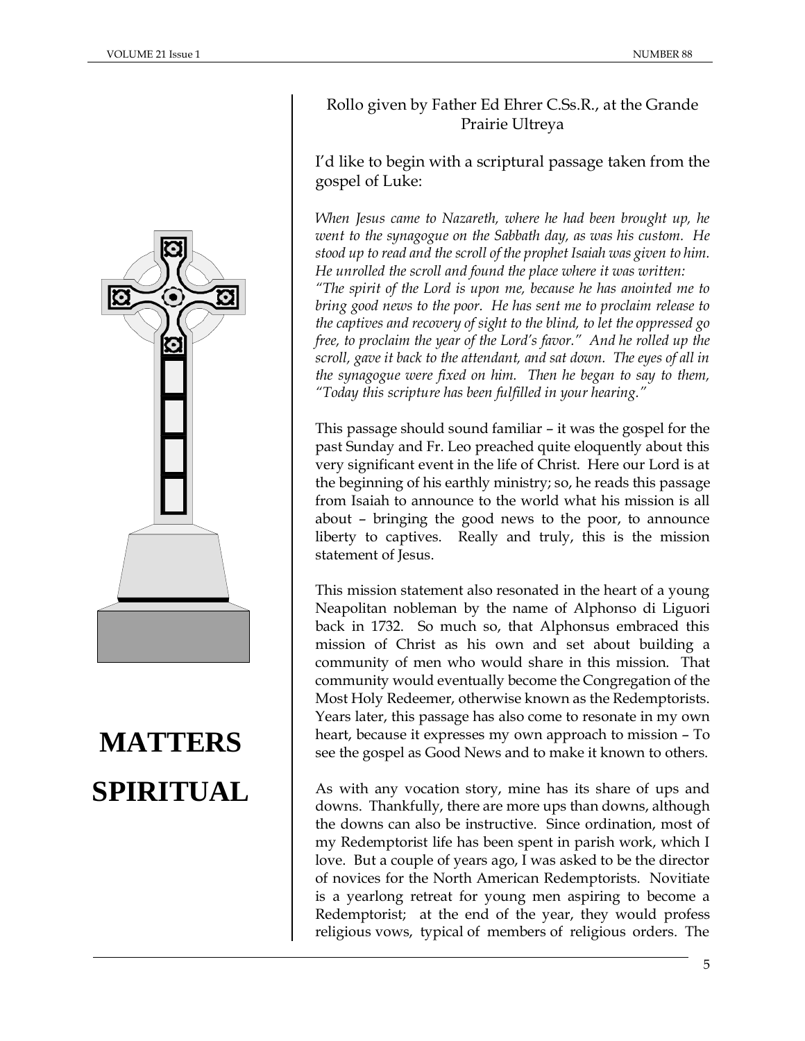

# **MATTERS SPIRITUAL**

# Rollo given by Father Ed Ehrer C.Ss.R., at the Grande Prairie Ultreya

# I'd like to begin with a scriptural passage taken from the gospel of Luke:

*When Jesus came to Nazareth, where he had been brought up, he went to the synagogue on the Sabbath day, as was his custom. He stood up to read and the scroll of the prophet Isaiah was given to him. He unrolled the scroll and found the place where it was written: "The spirit of the Lord is upon me, because he has anointed me to bring good news to the poor. He has sent me to proclaim release to the captives and recovery of sight to the blind, to let the oppressed go free, to proclaim the year of the Lord's favor." And he rolled up the scroll, gave it back to the attendant, and sat down. The eyes of all in the synagogue were fixed on him. Then he began to say to them, "Today this scripture has been fulfilled in your hearing."*

This passage should sound familiar – it was the gospel for the past Sunday and Fr. Leo preached quite eloquently about this very significant event in the life of Christ. Here our Lord is at the beginning of his earthly ministry; so, he reads this passage from Isaiah to announce to the world what his mission is all about – bringing the good news to the poor, to announce liberty to captives. Really and truly, this is the mission statement of Jesus.

This mission statement also resonated in the heart of a young Neapolitan nobleman by the name of Alphonso di Liguori back in 1732. So much so, that Alphonsus embraced this mission of Christ as his own and set about building a community of men who would share in this mission. That community would eventually become the Congregation of the Most Holy Redeemer, otherwise known as the Redemptorists. Years later, this passage has also come to resonate in my own heart, because it expresses my own approach to mission – To see the gospel as Good News and to make it known to others.

As with any vocation story, mine has its share of ups and downs. Thankfully, there are more ups than downs, although the downs can also be instructive. Since ordination, most of my Redemptorist life has been spent in parish work, which I love. But a couple of years ago, I was asked to be the director of novices for the North American Redemptorists. Novitiate is a yearlong retreat for young men aspiring to become a Redemptorist; at the end of the year, they would profess religious vows, typical of members of religious orders. The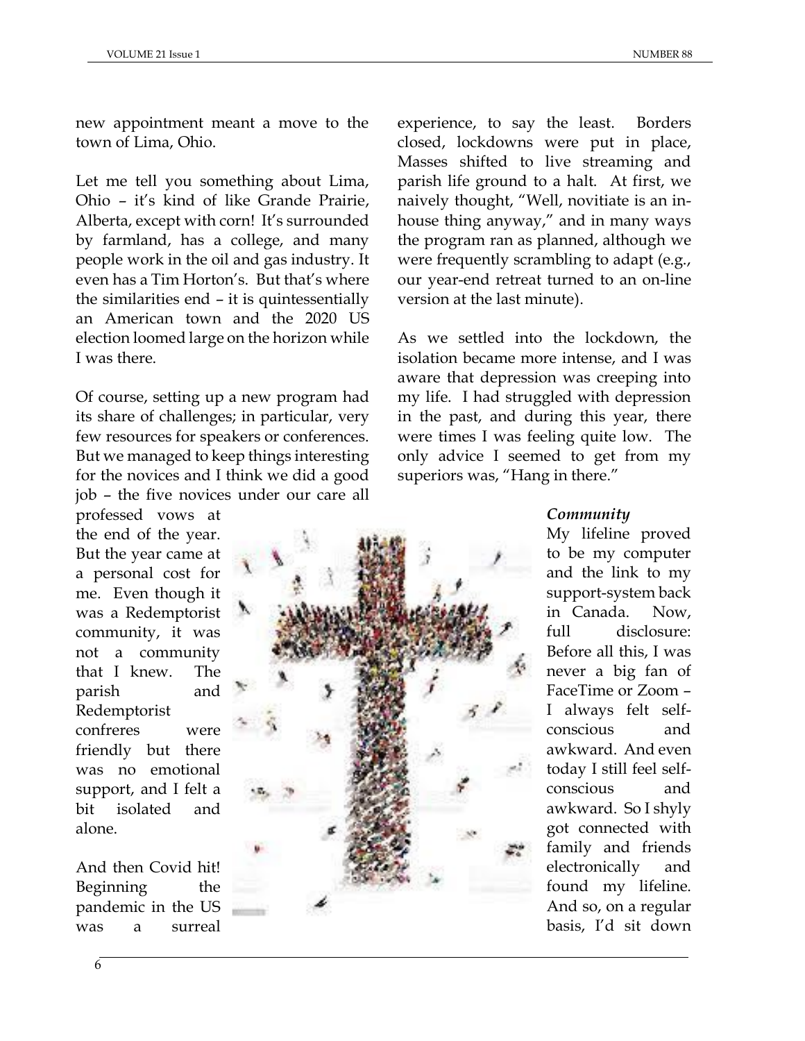new appointment meant a move to the town of Lima, Ohio.

Let me tell you something about Lima, Ohio – it's kind of like Grande Prairie, Alberta, except with corn! It's surrounded by farmland, has a college, and many people work in the oil and gas industry. It even has a Tim Horton's. But that's where the similarities end – it is quintessentially an American town and the 2020 US election loomed large on the horizon while I was there.

Of course, setting up a new program had its share of challenges; in particular, very few resources for speakers or conferences. But we managed to keep things interesting for the novices and I think we did a good job – the five novices under our care all

professed vows at the end of the year. But the year came at a personal cost for me. Even though it was a Redemptorist community, it was not a community that I knew. The parish and Redemptorist confreres were friendly but there was no emotional support, and I felt a bit isolated and alone.

And then Covid hit! Beginning the pandemic in the US was a surreal



experience, to say the least. Borders closed, lockdowns were put in place, Masses shifted to live streaming and parish life ground to a halt. At first, we naively thought, "Well, novitiate is an inhouse thing anyway," and in many ways the program ran as planned, although we were frequently scrambling to adapt (e.g., our year-end retreat turned to an on-line version at the last minute).

As we settled into the lockdown, the isolation became more intense, and I was aware that depression was creeping into my life. I had struggled with depression in the past, and during this year, there were times I was feeling quite low. The only advice I seemed to get from my superiors was, "Hang in there."

## *Community*

My lifeline proved to be my computer and the link to my support-system back in Canada. Now, full disclosure: Before all this, I was never a big fan of FaceTime or Zoom – I always felt selfconscious and awkward. And even today I still feel selfconscious and awkward. So I shyly got connected with family and friends electronically and found my lifeline. And so, on a regular basis, I'd sit down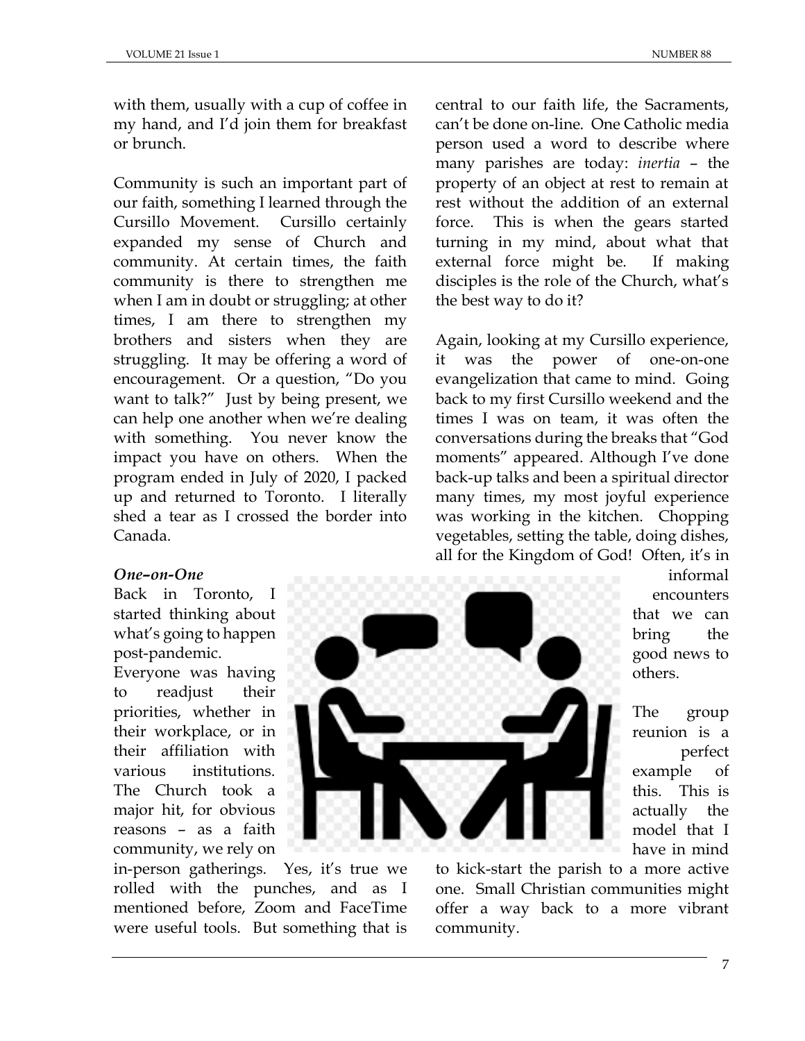with them, usually with a cup of coffee in my hand, and I'd join them for breakfast or brunch.

Community is such an important part of our faith, something I learned through the Cursillo Movement. Cursillo certainly expanded my sense of Church and community. At certain times, the faith community is there to strengthen me when I am in doubt or struggling; at other times, I am there to strengthen my brothers and sisters when they are struggling. It may be offering a word of encouragement. Or a question, "Do you want to talk?" Just by being present, we can help one another when we're dealing with something. You never know the impact you have on others. When the program ended in July of 2020, I packed up and returned to Toronto. I literally shed a tear as I crossed the border into Canada.

central to our faith life, the Sacraments, can't be done on-line. One Catholic media person used a word to describe where many parishes are today: *inertia* – the property of an object at rest to remain at rest without the addition of an external force. This is when the gears started turning in my mind, about what that external force might be. If making disciples is the role of the Church, what's the best way to do it?

Again, looking at my Cursillo experience, it was the power of one-on-one evangelization that came to mind. Going back to my first Cursillo weekend and the times I was on team, it was often the conversations during the breaks that "God moments" appeared. Although I've done back-up talks and been a spiritual director many times, my most joyful experience was working in the kitchen. Chopping vegetables, setting the table, doing dishes, all for the Kingdom of God! Often, it's in

# *One–on-One*

Back in Toronto, I started thinking about what's going to happen post-pandemic. Everyone was having to readjust their priorities, whether in their workplace, or in their affiliation with various institutions. The Church took a major hit, for obvious reasons – as a faith community, we rely on

in-person gatherings. Yes, it's true we rolled with the punches, and as I mentioned before, Zoom and FaceTime were useful tools. But something that is

informal encounters that we can bring the good news to others.

The group reunion is a perfect example of this. This is actually the model that I have in mind

to kick-start the parish to a more active one. Small Christian communities might offer a way back to a more vibrant community.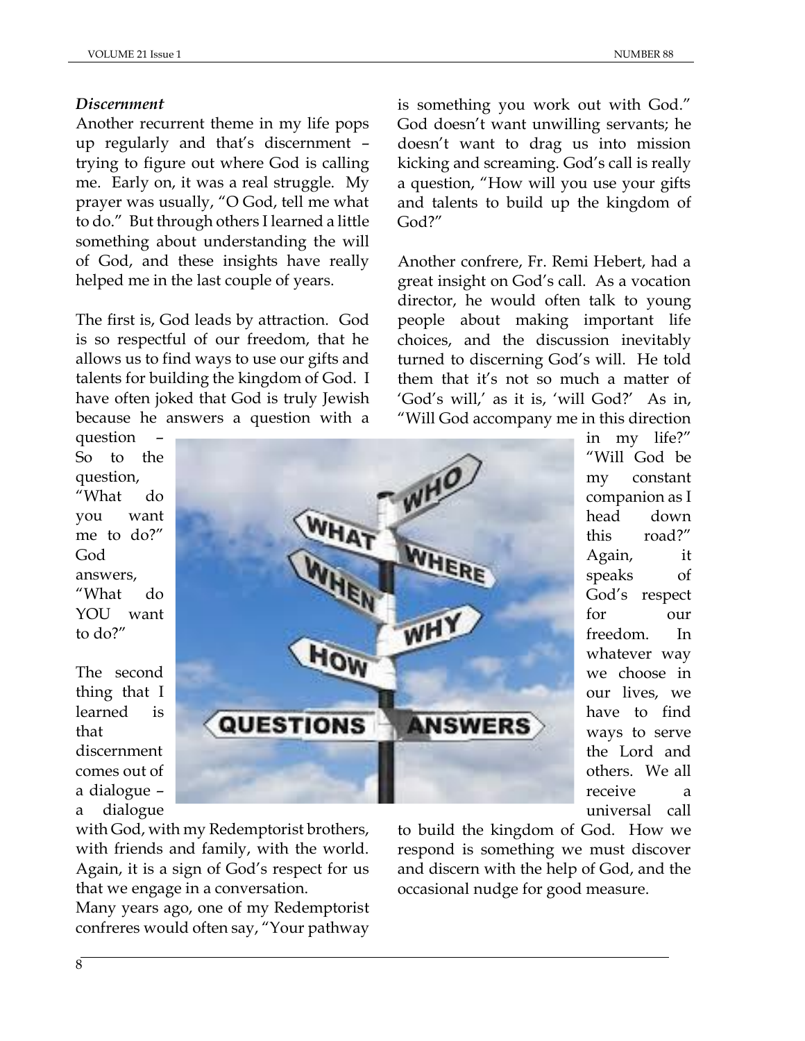# *Discernment*

Another recurrent theme in my life pops up regularly and that's discernment – trying to figure out where God is calling me. Early on, it was a real struggle. My prayer was usually, "O God, tell me what to do." But through others I learned a little something about understanding the will of God, and these insights have really helped me in the last couple of years.

The first is, God leads by attraction. God is so respectful of our freedom, that he allows us to find ways to use our gifts and talents for building the kingdom of God. I have often joked that God is truly Jewish because he answers a question with a is something you work out with God." God doesn't want unwilling servants; he doesn't want to drag us into mission kicking and screaming. God's call is really a question, "How will you use your gifts and talents to build up the kingdom of God?"

Another confrere, Fr. Remi Hebert, had a great insight on God's call. As a vocation director, he would often talk to young people about making important life choices, and the discussion inevitably turned to discerning God's will. He told them that it's not so much a matter of 'God's will,' as it is, 'will God?' As in, "Will God accompany me in this direction

question – So to the question, "What do you want me to do?" God answers, "What do YOU want to do?"

The second thing that I learned is that discernment comes out of a dialogue – a dialogue



in my life?" "Will God be my constant companion as I head down this road?" Again, it speaks of God's respect for our freedom. In whatever way we choose in our lives, we have to find ways to serve the Lord and others. We all receive a universal call

with God, with my Redemptorist brothers, with friends and family, with the world. Again, it is a sign of God's respect for us that we engage in a conversation.

Many years ago, one of my Redemptorist confreres would often say, "Your pathway

to build the kingdom of God. How we respond is something we must discover and discern with the help of God, and the occasional nudge for good measure.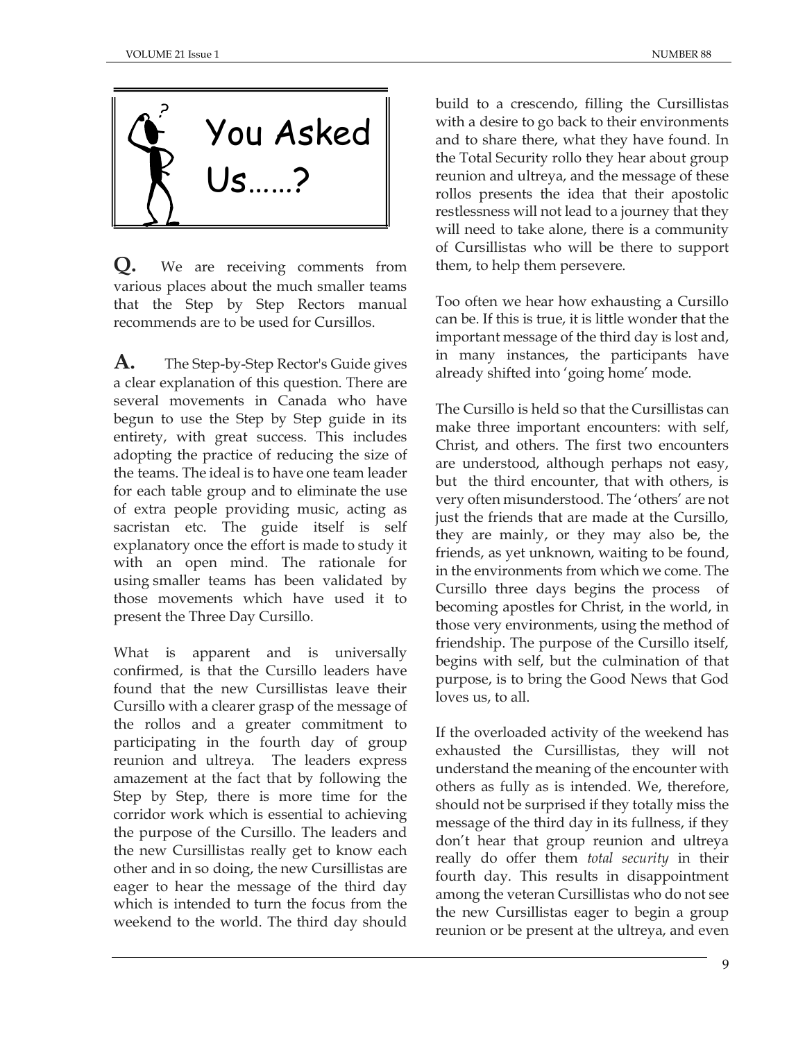

**Q.** We are receiving comments from various places about the much smaller teams that the Step by Step Rectors manual recommends are to be used for Cursillos.

**A.** The Step-by-Step Rector's Guide gives a clear explanation of this question. There are several movements in Canada who have begun to use the Step by Step guide in its entirety, with great success. This includes adopting the practice of reducing the size of the teams. The ideal is to have one team leader for each table group and to eliminate the use of extra people providing music, acting as sacristan etc. The guide itself is self explanatory once the effort is made to study it with an open mind. The rationale for using smaller teams has been validated by those movements which have used it to present the Three Day Cursillo.

What is apparent and is universally confirmed, is that the Cursillo leaders have found that the new Cursillistas leave their Cursillo with a clearer grasp of the message of the rollos and a greater commitment to participating in the fourth day of group reunion and ultreya. The leaders express amazement at the fact that by following the Step by Step, there is more time for the corridor work which is essential to achieving the purpose of the Cursillo. The leaders and the new Cursillistas really get to know each other and in so doing, the new Cursillistas are eager to hear the message of the third day which is intended to turn the focus from the weekend to the world. The third day should build to a crescendo, filling the Cursillistas with a desire to go back to their environments and to share there, what they have found. In the Total Security rollo they hear about group reunion and ultreya, and the message of these rollos presents the idea that their apostolic restlessness will not lead to a journey that they will need to take alone, there is a community of Cursillistas who will be there to support them, to help them persevere.

Too often we hear how exhausting a Cursillo can be. If this is true, it is little wonder that the important message of the third day is lost and, in many instances, the participants have already shifted into 'going home' mode.

The Cursillo is held so that the Cursillistas can make three important encounters: with self, Christ, and others. The first two encounters are understood, although perhaps not easy, but the third encounter, that with others, is very often misunderstood. The 'others' are not just the friends that are made at the Cursillo, they are mainly, or they may also be, the friends, as yet unknown, waiting to be found, in the environments from which we come. The Cursillo three days begins the process of becoming apostles for Christ, in the world, in those very environments, using the method of friendship. The purpose of the Cursillo itself, begins with self, but the culmination of that purpose, is to bring the Good News that God loves us, to all.

If the overloaded activity of the weekend has exhausted the Cursillistas, they will not understand the meaning of the encounter with others as fully as is intended. We, therefore, should not be surprised if they totally miss the message of the third day in its fullness, if they don't hear that group reunion and ultreya really do offer them *total security* in their fourth day. This results in disappointment among the veteran Cursillistas who do not see the new Cursillistas eager to begin a group reunion or be present at the ultreya, and even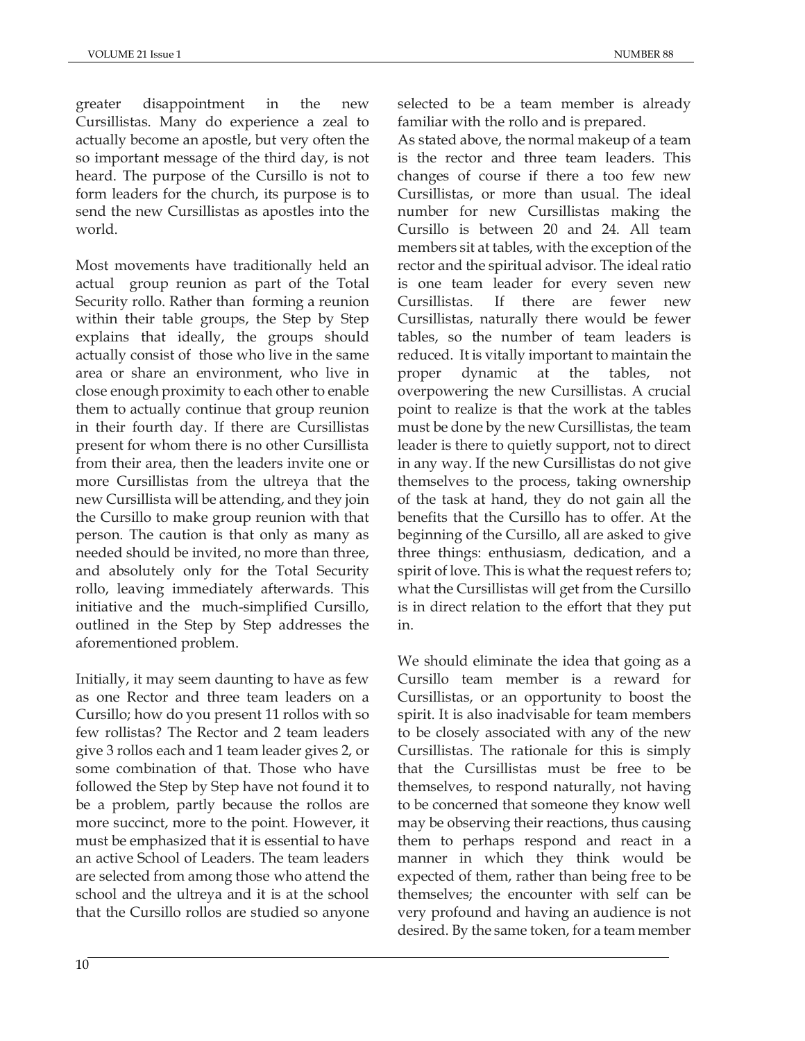greater disappointment in the new Cursillistas. Many do experience a zeal to actually become an apostle, but very often the so important message of the third day, is not heard. The purpose of the Cursillo is not to form leaders for the church, its purpose is to send the new Cursillistas as apostles into the world.

Most movements have traditionally held an actual group reunion as part of the Total Security rollo. Rather than forming a reunion within their table groups, the Step by Step explains that ideally, the groups should actually consist of those who live in the same area or share an environment, who live in close enough proximity to each other to enable them to actually continue that group reunion in their fourth day. If there are Cursillistas present for whom there is no other Cursillista from their area, then the leaders invite one or more Cursillistas from the ultreya that the new Cursillista will be attending, and they join the Cursillo to make group reunion with that person. The caution is that only as many as needed should be invited, no more than three, and absolutely only for the Total Security rollo, leaving immediately afterwards. This initiative and the much-simplified Cursillo, outlined in the Step by Step addresses the aforementioned problem.

Initially, it may seem daunting to have as few as one Rector and three team leaders on a Cursillo; how do you present 11 rollos with so few rollistas? The Rector and 2 team leaders give 3 rollos each and 1 team leader gives 2, or some combination of that. Those who have followed the Step by Step have not found it to be a problem, partly because the rollos are more succinct, more to the point. However, it must be emphasized that it is essential to have an active School of Leaders. The team leaders are selected from among those who attend the school and the ultreya and it is at the school that the Cursillo rollos are studied so anyone

selected to be a team member is already familiar with the rollo and is prepared.

As stated above, the normal makeup of a team is the rector and three team leaders. This changes of course if there a too few new Cursillistas, or more than usual. The ideal number for new Cursillistas making the Cursillo is between 20 and 24. All team members sit at tables, with the exception of the rector and the spiritual advisor. The ideal ratio is one team leader for every seven new Cursillistas. If there are fewer new Cursillistas, naturally there would be fewer tables, so the number of team leaders is reduced. It is vitally important to maintain the proper dynamic at the tables, not overpowering the new Cursillistas. A crucial point to realize is that the work at the tables must be done by the new Cursillistas, the team leader is there to quietly support, not to direct in any way. If the new Cursillistas do not give themselves to the process, taking ownership of the task at hand, they do not gain all the benefits that the Cursillo has to offer. At the beginning of the Cursillo, all are asked to give three things: enthusiasm, dedication, and a spirit of love. This is what the request refers to; what the Cursillistas will get from the Cursillo is in direct relation to the effort that they put in.

We should eliminate the idea that going as a Cursillo team member is a reward for Cursillistas, or an opportunity to boost the spirit. It is also inadvisable for team members to be closely associated with any of the new Cursillistas. The rationale for this is simply that the Cursillistas must be free to be themselves, to respond naturally, not having to be concerned that someone they know well may be observing their reactions, thus causing them to perhaps respond and react in a manner in which they think would be expected of them, rather than being free to be themselves; the encounter with self can be very profound and having an audience is not desired. By the same token, for a team member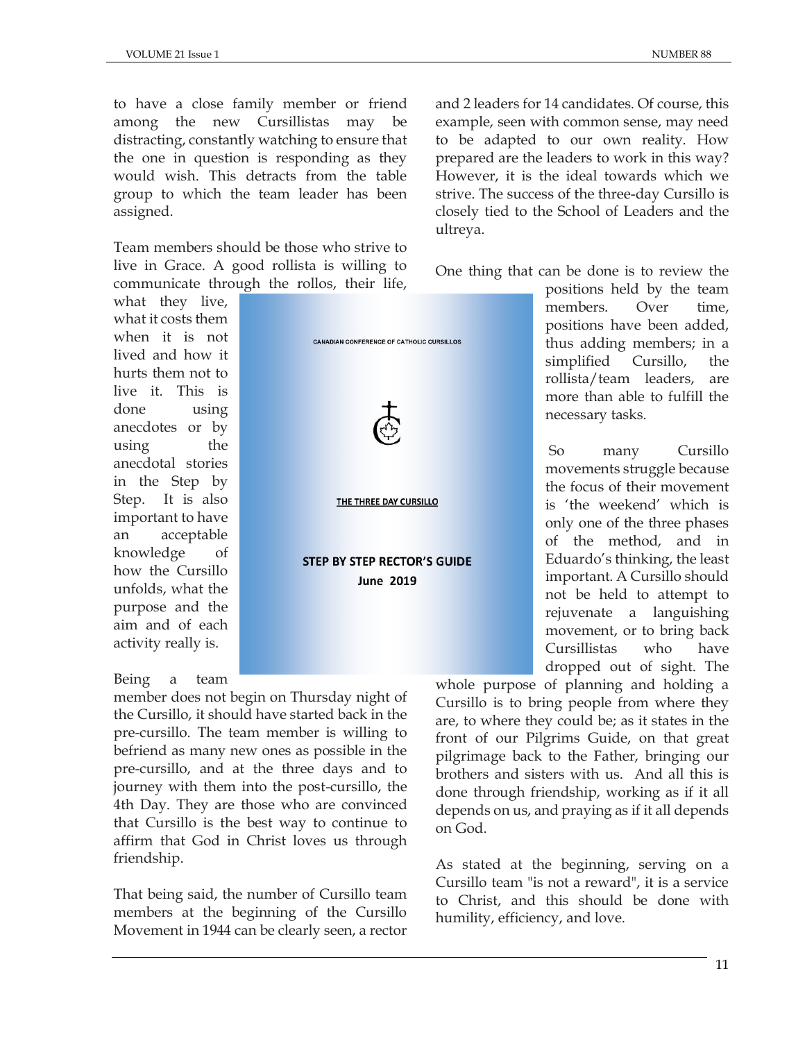to have a close family member or friend among the new Cursillistas may be distracting, constantly watching to ensure that the one in question is responding as they would wish. This detracts from the table group to which the team leader has been assigned.

Team members should be those who strive to live in Grace. A good rollista is willing to communicate through the rollos, their life,

**CANADIAN CONFERENCE OF CATHOLIC CURSILLOS** 

THE THREE DAY CURSILLO

**STEP BY STEP RECTOR'S GUIDE June 2019** 

what they live, what it costs them when it is not lived and how it hurts them not to live it. This is done using anecdotes or by using the anecdotal stories in the Step by Step. It is also important to have an acceptable knowledge of how the Cursillo unfolds, what the purpose and the aim and of each activity really is.

#### Being a team

member does not begin on Thursday night of the Cursillo, it should have started back in the pre-cursillo. The team member is willing to befriend as many new ones as possible in the pre-cursillo, and at the three days and to journey with them into the post-cursillo, the 4th Day. They are those who are convinced that Cursillo is the best way to continue to affirm that God in Christ loves us through friendship.

That being said, the number of Cursillo team members at the beginning of the Cursillo Movement in 1944 can be clearly seen, a rector

and 2 leaders for 14 candidates. Of course, this example, seen with common sense, may need to be adapted to our own reality. How prepared are the leaders to work in this way? However, it is the ideal towards which we strive. The success of the three-day Cursillo is closely tied to the School of Leaders and the ultreya.

One thing that can be done is to review the

positions held by the team members. Over time, positions have been added, thus adding members; in a simplified Cursillo, the rollista/team leaders, are more than able to fulfill the necessary tasks.

So many Cursillo movements struggle because the focus of their movement is 'the weekend' which is only one of the three phases of the method, and in Eduardo's thinking, the least important. A Cursillo should not be held to attempt to rejuvenate a languishing movement, or to bring back Cursillistas who have dropped out of sight. The

whole purpose of planning and holding a Cursillo is to bring people from where they are, to where they could be; as it states in the front of our Pilgrims Guide, on that great pilgrimage back to the Father, bringing our brothers and sisters with us. And all this is done through friendship, working as if it all depends on us, and praying as if it all depends on God.

As stated at the beginning, serving on a Cursillo team "is not a reward", it is a service to Christ, and this should be done with humility, efficiency, and love.

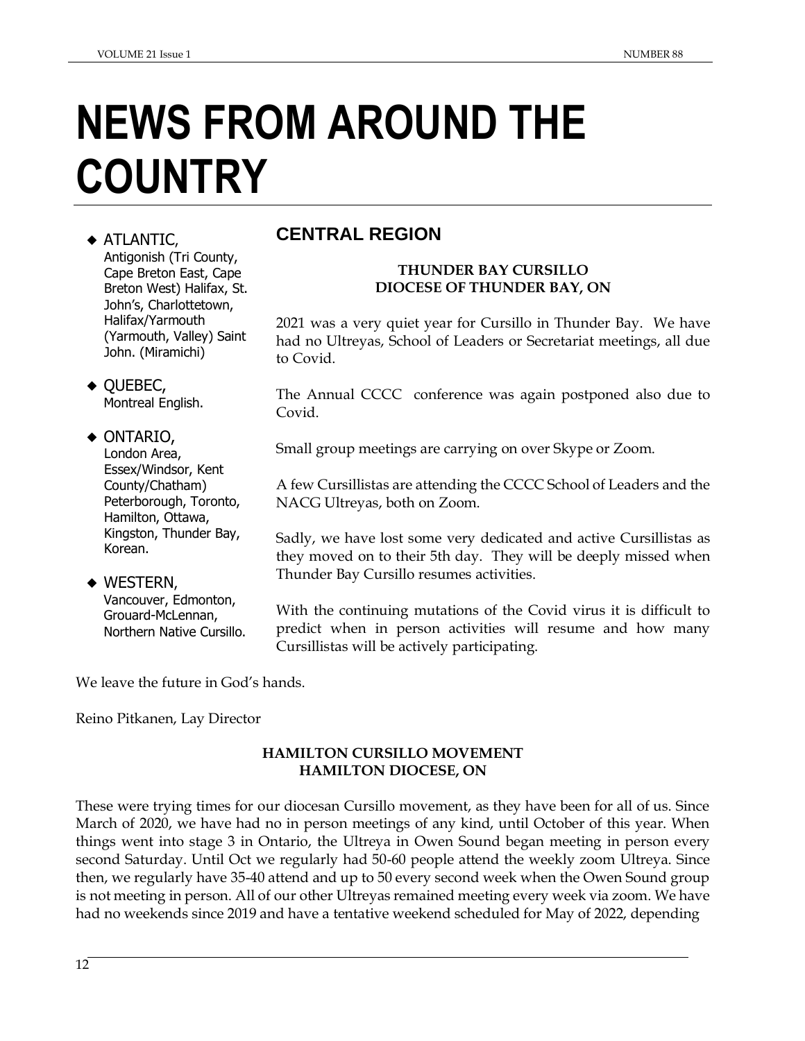# **NEWS FROM AROUND THE COUNTRY**

#### ◆ ATLANTIC, Antigonish (Tri County, Cape Breton East, Cape Breton West) Halifax, St. John's, Charlottetown, Halifax/Yarmouth (Yarmouth, Valley) Saint John. (Miramichi)

◆ QUEBEC, Montreal English.

- ◆ ONTARIO, London Area, Essex/Windsor, Kent County/Chatham) Peterborough, Toronto, Hamilton, Ottawa, Kingston, Thunder Bay, Korean.
- $\blacklozenge$  Western, Vancouver, Edmonton, Grouard-McLennan, Northern Native Cursillo.

# **CENTRAL REGION**

#### **THUNDER BAY CURSILLO DIOCESE OF THUNDER BAY, ON**

2021 was a very quiet year for Cursillo in Thunder Bay. We have had no Ultreyas, School of Leaders or Secretariat meetings, all due to Covid.

The Annual CCCC conference was again postponed also due to Covid.

Small group meetings are carrying on over Skype or Zoom.

A few Cursillistas are attending the CCCC School of Leaders and the NACG Ultreyas, both on Zoom.

Sadly, we have lost some very dedicated and active Cursillistas as they moved on to their 5th day. They will be deeply missed when Thunder Bay Cursillo resumes activities.

With the continuing mutations of the Covid virus it is difficult to predict when in person activities will resume and how many Cursillistas will be actively participating.

We leave the future in God's hands.

Reino Pitkanen, Lay Director

# **HAMILTON CURSILLO MOVEMENT HAMILTON DIOCESE, ON**

These were trying times for our diocesan Cursillo movement, as they have been for all of us. Since March of 2020, we have had no in person meetings of any kind, until October of this year. When things went into stage 3 in Ontario, the Ultreya in Owen Sound began meeting in person every second Saturday. Until Oct we regularly had 50-60 people attend the weekly zoom Ultreya. Since then, we regularly have 35-40 attend and up to 50 every second week when the Owen Sound group is not meeting in person. All of our other Ultreyas remained meeting every week via zoom. We have had no weekends since 2019 and have a tentative weekend scheduled for May of 2022, depending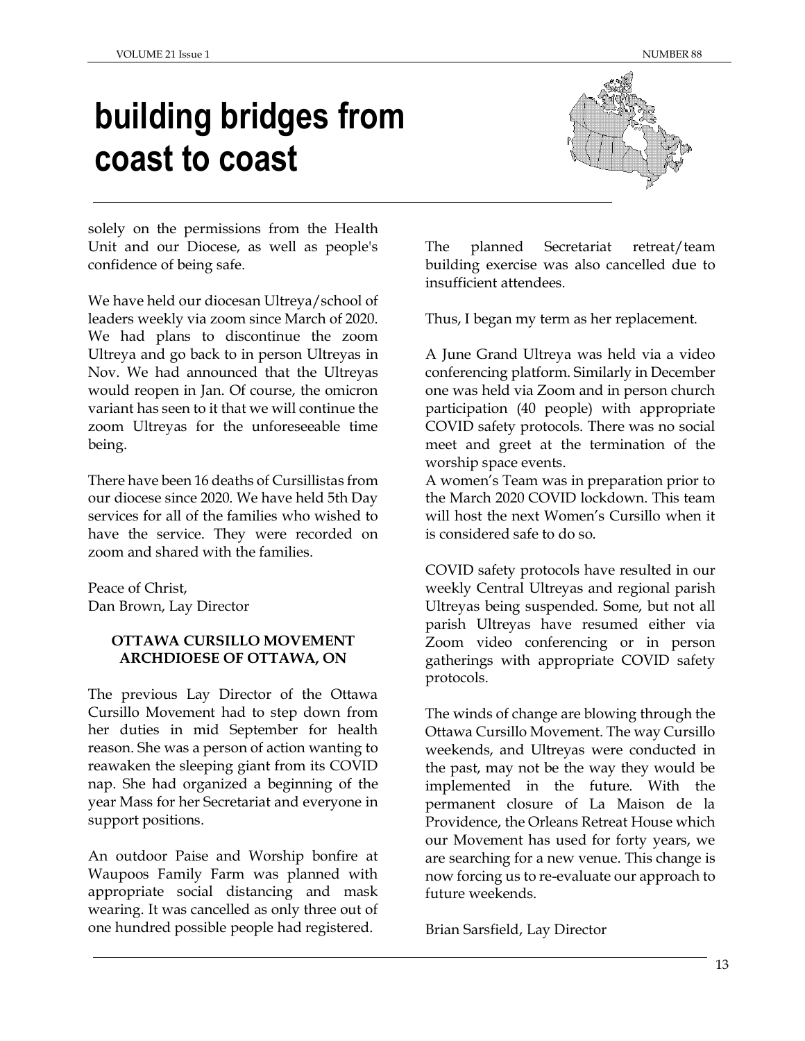# **building bridges from coast to coast**



solely on the permissions from the Health Unit and our Diocese, as well as people's confidence of being safe.

We have held our diocesan Ultreya/school of leaders weekly via zoom since March of 2020. We had plans to discontinue the zoom Ultreya and go back to in person Ultreyas in Nov. We had announced that the Ultreyas would reopen in Jan. Of course, the omicron variant has seen to it that we will continue the zoom Ultreyas for the unforeseeable time being.

There have been 16 deaths of Cursillistas from our diocese since 2020. We have held 5th Day services for all of the families who wished to have the service. They were recorded on zoom and shared with the families.

Peace of Christ, Dan Brown, Lay Director

# **OTTAWA CURSILLO MOVEMENT ARCHDIOESE OF OTTAWA, ON**

The previous Lay Director of the Ottawa Cursillo Movement had to step down from her duties in mid September for health reason. She was a person of action wanting to reawaken the sleeping giant from its COVID nap. She had organized a beginning of the year Mass for her Secretariat and everyone in support positions.

An outdoor Paise and Worship bonfire at Waupoos Family Farm was planned with appropriate social distancing and mask wearing. It was cancelled as only three out of one hundred possible people had registered.

The planned Secretariat retreat/team building exercise was also cancelled due to insufficient attendees.

Thus, I began my term as her replacement.

A June Grand Ultreya was held via a video conferencing platform. Similarly in December one was held via Zoom and in person church participation (40 people) with appropriate COVID safety protocols. There was no social meet and greet at the termination of the worship space events.

A women's Team was in preparation prior to the March 2020 COVID lockdown. This team will host the next Women's Cursillo when it is considered safe to do so.

COVID safety protocols have resulted in our weekly Central Ultreyas and regional parish Ultreyas being suspended. Some, but not all parish Ultreyas have resumed either via Zoom video conferencing or in person gatherings with appropriate COVID safety protocols.

The winds of change are blowing through the Ottawa Cursillo Movement. The way Cursillo weekends, and Ultreyas were conducted in the past, may not be the way they would be implemented in the future. With the permanent closure of La Maison de la Providence, the Orleans Retreat House which our Movement has used for forty years, we are searching for a new venue. This change is now forcing us to re-evaluate our approach to future weekends.

Brian Sarsfield, Lay Director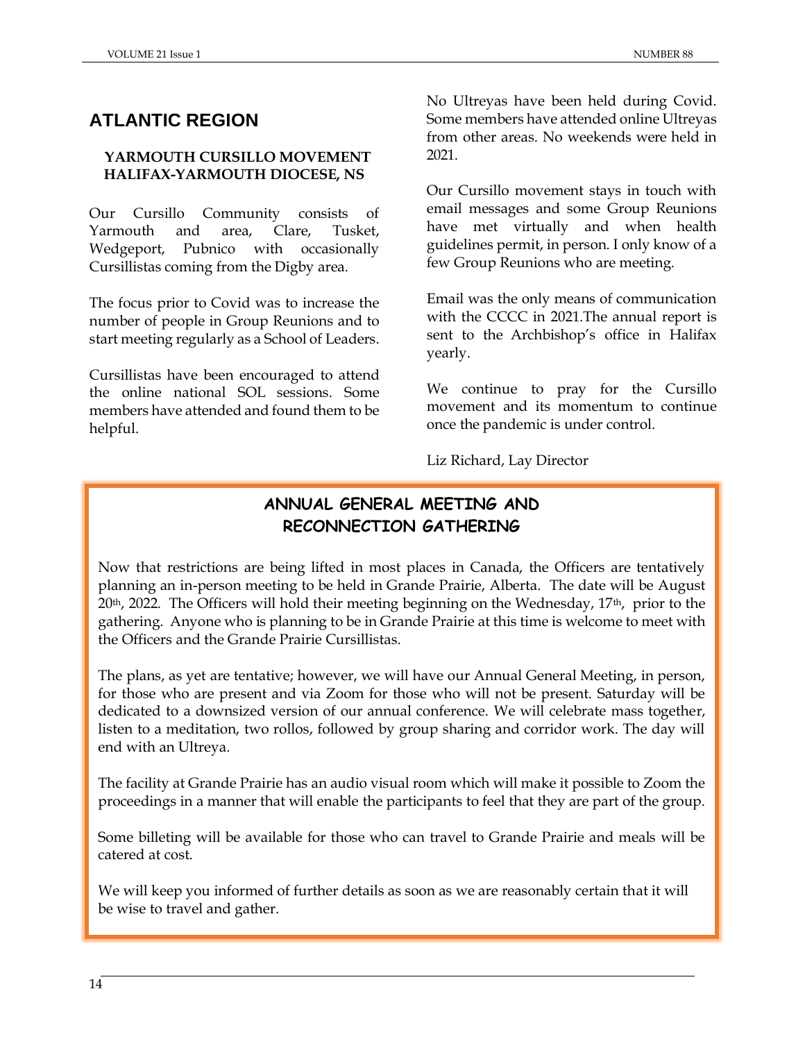# **ATLANTIC REGION**

# **YARMOUTH CURSILLO MOVEMENT HALIFAX-YARMOUTH DIOCESE, NS**

Our Cursillo Community consists of Yarmouth and area, Clare, Tusket, Wedgeport, Pubnico with occasionally Cursillistas coming from the Digby area.

The focus prior to Covid was to increase the number of people in Group Reunions and to start meeting regularly as a School of Leaders.

Cursillistas have been encouraged to attend the online national SOL sessions. Some members have attended and found them to be helpful.

No Ultreyas have been held during Covid. Some members have attended online Ultreyas from other areas. No weekends were held in 2021.

Our Cursillo movement stays in touch with email messages and some Group Reunions have met virtually and when health guidelines permit, in person. I only know of a few Group Reunions who are meeting.

Email was the only means of communication with the CCCC in 2021.The annual report is sent to the Archbishop's office in Halifax yearly.

We continue to pray for the Cursillo movement and its momentum to continue once the pandemic is under control.

Liz Richard, Lay Director

# **ANNUAL GENERAL MEETING AND RECONNECTION GATHERING**

Now that restrictions are being lifted in most places in Canada, the Officers are tentatively planning an in-person meeting to be held in Grande Prairie, Alberta. The date will be August  $20<sup>th</sup>$ , 2022. The Officers will hold their meeting beginning on the Wednesday,  $17<sup>th</sup>$ , prior to the gathering. Anyone who is planning to be in Grande Prairie at this time is welcome to meet with the Officers and the Grande Prairie Cursillistas.

The plans, as yet are tentative; however, we will have our Annual General Meeting, in person, for those who are present and via Zoom for those who will not be present. Saturday will be dedicated to a downsized version of our annual conference. We will celebrate mass together, listen to a meditation, two rollos, followed by group sharing and corridor work. The day will end with an Ultreya.

The facility at Grande Prairie has an audio visual room which will make it possible to Zoom the proceedings in a manner that will enable the participants to feel that they are part of the group.

Some billeting will be available for those who can travel to Grande Prairie and meals will be catered at cost.

We will keep you informed of further details as soon as we are reasonably certain that it will be wise to travel and gather.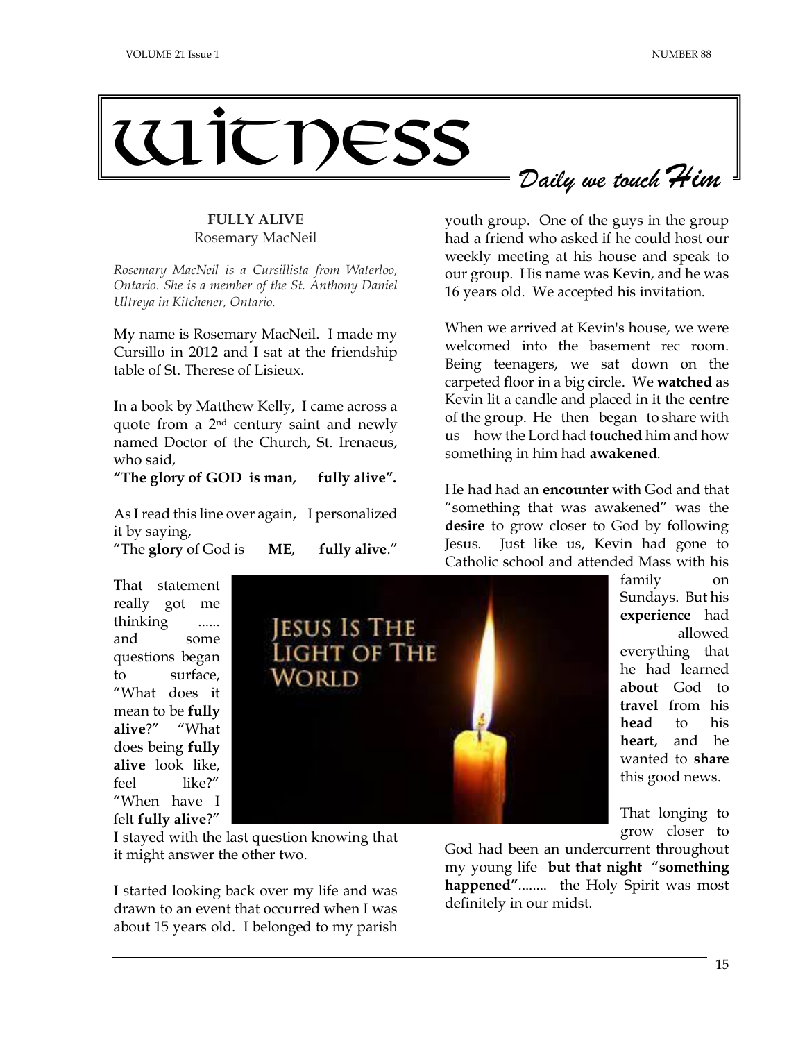# Witness *Daily we touch Him*

# **FULLY ALIVE** Rosemary MacNeil

*Rosemary MacNeil is a Cursillista from Waterloo, Ontario. She is a member of the St. Anthony Daniel Ultreya in Kitchener, Ontario.*

My name is Rosemary MacNeil. I made my Cursillo in 2012 and I sat at the friendship table of St. Therese of Lisieux.

In a book by Matthew Kelly, I came across a quote from a 2nd century saint and newly named Doctor of the Church, St. Irenaeus, who said,

#### **"The glory of GOD is man, fully alive".**

As I read this line over again, I personalized it by saying,

"The **glory** of God is **ME**, **fully alive**."

That statement really got me thinking ...... and some questions began to surface, "What does it mean to be **fully alive**?" "What does being **fully alive** look like, feel like?" "When have I felt **fully alive**?"



I stayed with the last question knowing that it might answer the other two.

I started looking back over my life and was drawn to an event that occurred when I was about 15 years old. I belonged to my parish

youth group. One of the guys in the group had a friend who asked if he could host our weekly meeting at his house and speak to our group. His name was Kevin, and he was 16 years old. We accepted his invitation.

When we arrived at Kevin's house, we were welcomed into the basement rec room. Being teenagers, we sat down on the carpeted floor in a big circle. We **watched** as Kevin lit a candle and placed in it the **centre** of the group. He then began to share with us how the Lord had **touched** him and how something in him had **awakened**.

He had had an **encounter** with God and that "something that was awakened" was the **desire** to grow closer to God by following Jesus. Just like us, Kevin had gone to Catholic school and attended Mass with his

> family on Sundays. But his **experience** had allowed everything that he had learned **about** God to **travel** from his **head** to his **heart**, and he wanted to **share** this good news.

> That longing to grow closer to

God had been an undercurrent throughout my young life **but that night** "**something happened"**........ the Holy Spirit was most definitely in our midst.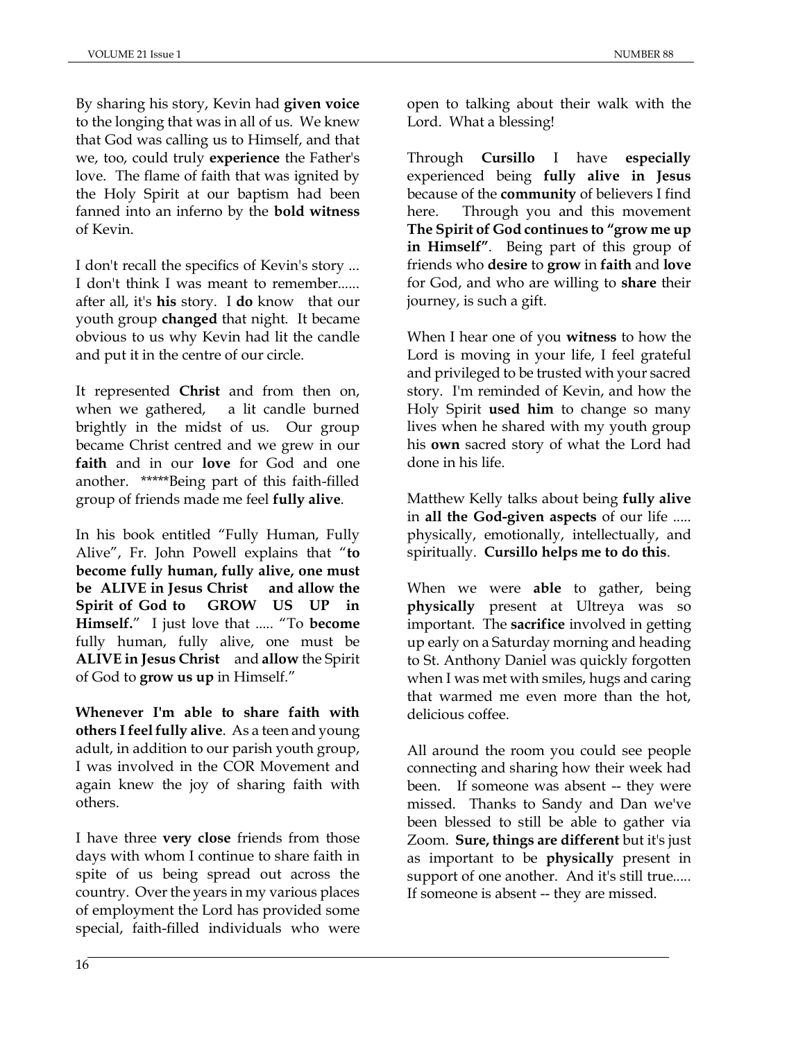By sharing his story, Kevin had **given voice** to the longing that was in all of us. We knew that God was calling us to Himself, and that we, too, could truly **experience** the Father's love. The flame of faith that was ignited by the Holy Spirit at our baptism had been fanned into an inferno by the **bold witness** of Kevin.

I don't recall the specifics of Kevin's story ... I don't think I was meant to remember...... after all, it's **his** story. I **do** know that our youth group **changed** that night. It became obvious to us why Kevin had lit the candle and put it in the centre of our circle.

It represented **Christ** and from then on, when we gathered, a lit candle burned brightly in the midst of us. Our group became Christ centred and we grew in our **faith** and in our **love** for God and one another. \*\*\*\*\*Being part of this faith-filled group of friends made me feel **fully alive**.

In his book entitled "Fully Human, Fully Alive", Fr. John Powell explains that "**to become fully human, fully alive, one must be ALIVE in Jesus Christ and allow the Spirit of God to GROW US UP in Himself.**" I just love that ..... "To **become** fully human, fully alive, one must be **ALIVE in Jesus Christ** and **allow** the Spirit of God to **grow us up** in Himself."

**Whenever I'm able to share faith with others I feel fully alive**. As a teen and young adult, in addition to our parish youth group, I was involved in the COR Movement and again knew the joy of sharing faith with others.

I have three **very close** friends from those days with whom I continue to share faith in spite of us being spread out across the country. Over the years in my various places of employment the Lord has provided some special, faith-filled individuals who were

open to talking about their walk with the Lord. What a blessing!

Through **Cursillo** I have **especially** experienced being **fully alive in Jesus**  because of the **community** of believers I find here. Through you and this movement **The Spirit of God continues to "grow me up in Himself"**. Being part of this group of friends who **desire** to **grow** in **faith** and **love** for God, and who are willing to **share** their journey, is such a gift.

When I hear one of you **witness** to how the Lord is moving in your life, I feel grateful and privileged to be trusted with your sacred story. I'm reminded of Kevin, and how the Holy Spirit **used him** to change so many lives when he shared with my youth group his **own** sacred story of what the Lord had done in his life.

Matthew Kelly talks about being **fully alive** in **all the God-given aspects** of our life ..... physically, emotionally, intellectually, and spiritually. **Cursillo helps me to do this**.

When we were **able** to gather, being **physically** present at Ultreya was so important. The **sacrifice** involved in getting up early on a Saturday morning and heading to St. Anthony Daniel was quickly forgotten when I was met with smiles, hugs and caring that warmed me even more than the hot, delicious coffee.

All around the room you could see people connecting and sharing how their week had been. If someone was absent -- they were missed. Thanks to Sandy and Dan we've been blessed to still be able to gather via Zoom. **Sure, things are different** but it's just as important to be **physically** present in support of one another. And it's still true..... If someone is absent -- they are missed.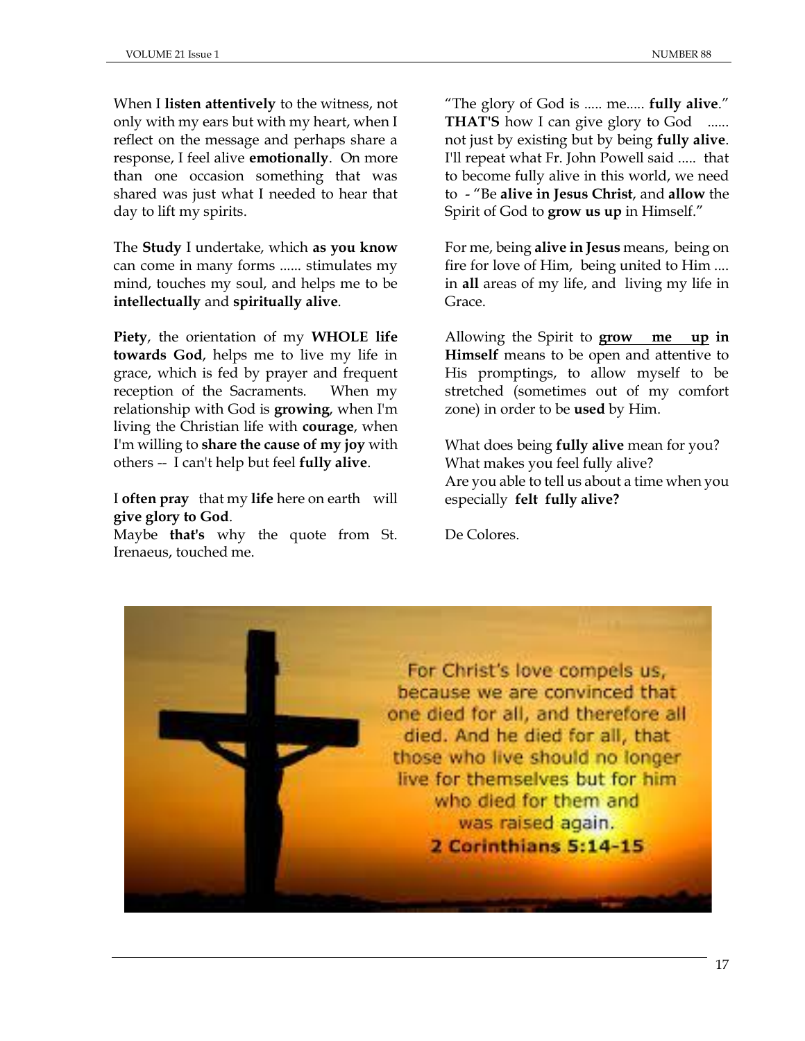When I **listen attentively** to the witness, not only with my ears but with my heart, when I reflect on the message and perhaps share a response, I feel alive **emotionally**. On more than one occasion something that was shared was just what I needed to hear that day to lift my spirits.

The **Study** I undertake, which **as you know** can come in many forms ...... stimulates my mind, touches my soul, and helps me to be **intellectually** and **spiritually alive**.

**Piety**, the orientation of my **WHOLE life towards God**, helps me to live my life in grace, which is fed by prayer and frequent reception of the Sacraments. When my relationship with God is **growing**, when I'm living the Christian life with **courage**, when I'm willing to **share the cause of my joy** with others -- I can't help but feel **fully alive**.

I **often pray** that my **life** here on earth will **give glory to God**.

Maybe **that's** why the quote from St. Irenaeus, touched me.

"The glory of God is ..... me..... **fully alive**." **THAT'S** how I can give glory to God not just by existing but by being **fully alive**. I'll repeat what Fr. John Powell said ..... that to become fully alive in this world, we need to - "Be **alive in Jesus Christ**, and **allow** the Spirit of God to **grow us up** in Himself."

For me, being **alive in Jesus** means, being on fire for love of Him, being united to Him .... in **all** areas of my life, and living my life in Grace.

Allowing the Spirit to **grow me up in Himself** means to be open and attentive to His promptings, to allow myself to be stretched (sometimes out of my comfort zone) in order to be **used** by Him.

What does being **fully alive** mean for you? What makes you feel fully alive? Are you able to tell us about a time when you especially **felt fully alive?**

De Colores.

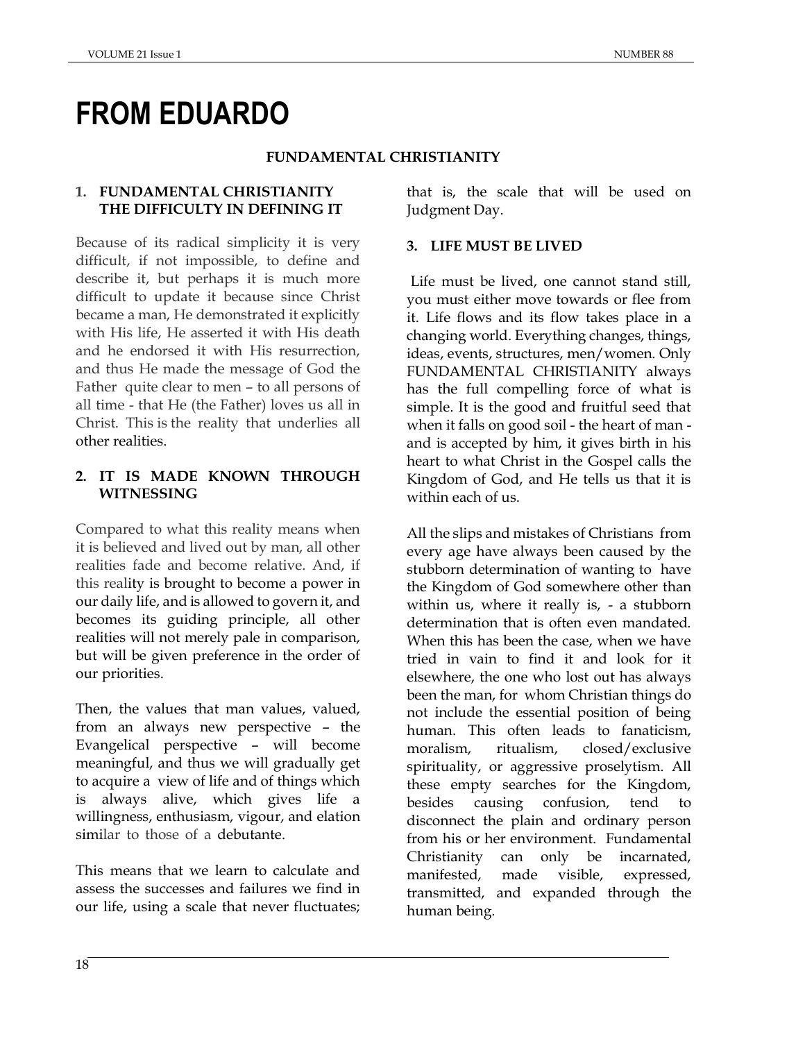# **FROM EDUARDO**

#### **FUNDAMENTAL CHRISTIANITY**

# **1. FUNDAMENTAL CHRISTIANITY THE DIFFICULTY IN DEFINING IT**

Because of its radical simplicity it is very difficult, if not impossible, to define and describe it, but perhaps it is much more difficult to update it because since Christ became a man, He demonstrated it explicitly with His life, He asserted it with His death and he endorsed it with His resurrection, and thus He made the message of God the Father quite clear to men – to all persons of all time - that He (the Father) loves us all in Christ. This is the reality that underlies all other realities.

# **2. IT IS MADE KNOWN THROUGH WITNESSING**

Compared to what this reality means when it is believed and lived out by man, all other realities fade and become relative. And, if this reality is brought to become a power in our daily life, and is allowed to govern it, and becomes its guiding principle, all other realities will not merely pale in comparison, but will be given preference in the order of our priorities.

Then, the values that man values, valued, from an always new perspective – the Evangelical perspective – will become meaningful, and thus we will gradually get to acquire a view of life and of things which is always alive, which gives life a willingness, enthusiasm, vigour, and elation similar to those of a debutante.

This means that we learn to calculate and assess the successes and failures we find in our life, using a scale that never fluctuates; that is, the scale that will be used on Judgment Day.

# **3. LIFE MUST BE LIVED**

Life must be lived, one cannot stand still, you must either move towards or flee from it. Life flows and its flow takes place in a changing world. Everything changes, things, ideas, events, structures, men/women. Only FUNDAMENTAL CHRISTIANITY always has the full compelling force of what is simple. It is the good and fruitful seed that when it falls on good soil - the heart of man and is accepted by him, it gives birth in his heart to what Christ in the Gospel calls the Kingdom of God, and He tells us that it is within each of us.

All the slips and mistakes of Christians from every age have always been caused by the stubborn determination of wanting to have the Kingdom of God somewhere other than within us, where it really is, - a stubborn determination that is often even mandated. When this has been the case, when we have tried in vain to find it and look for it elsewhere, the one who lost out has always been the man, for whom Christian things do not include the essential position of being human. This often leads to fanaticism, moralism, ritualism, closed/exclusive spirituality, or aggressive proselytism. All these empty searches for the Kingdom, besides causing confusion, tend to disconnect the plain and ordinary person from his or her environment. Fundamental Christianity can only be incarnated, manifested, made visible, expressed, transmitted, and expanded through the human being.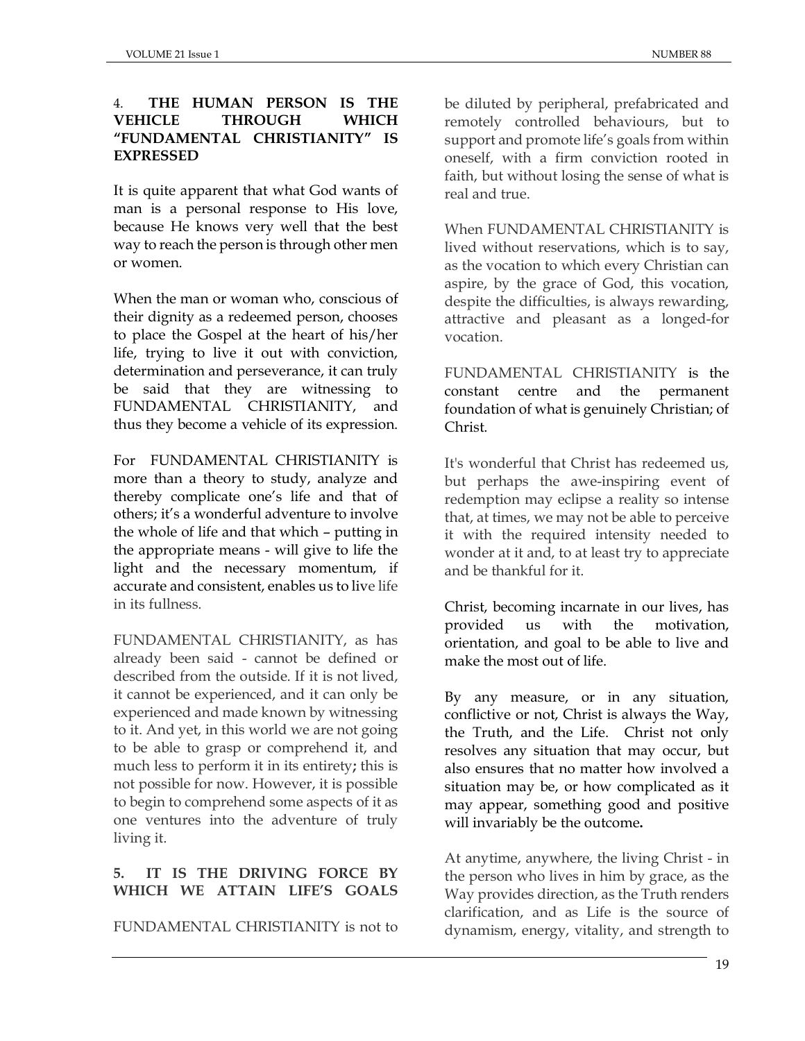# 4. **THE HUMAN PERSON IS THE VEHICLE THROUGH WHICH "FUNDAMENTAL CHRISTIANITY" IS EXPRESSED**

It is quite apparent that what God wants of man is a personal response to His love, because He knows very well that the best way to reach the person is through other men or women.

When the man or woman who, conscious of their dignity as a redeemed person, chooses to place the Gospel at the heart of his/her life, trying to live it out with conviction, determination and perseverance, it can truly be said that they are witnessing to FUNDAMENTAL CHRISTIANITY, and thus they become a vehicle of its expression.

For FUNDAMENTAL CHRISTIANITY is more than a theory to study, analyze and thereby complicate one's life and that of others; it's a wonderful adventure to involve the whole of life and that which – putting in the appropriate means - will give to life the light and the necessary momentum, if accurate and consistent, enables us to live life in its fullness.

FUNDAMENTAL CHRISTIANITY, as has already been said - cannot be defined or described from the outside. If it is not lived, it cannot be experienced, and it can only be experienced and made known by witnessing to it. And yet, in this world we are not going to be able to grasp or comprehend it, and much less to perform it in its entirety**;** this is not possible for now. However, it is possible to begin to comprehend some aspects of it as one ventures into the adventure of truly living it.

# **5. IT IS THE DRIVING FORCE BY WHICH WE ATTAIN LIFE'S GOALS**

FUNDAMENTAL CHRISTIANITY is not to

be diluted by peripheral, prefabricated and remotely controlled behaviours, but to support and promote life's goals from within oneself, with a firm conviction rooted in faith, but without losing the sense of what is real and true.

When FUNDAMENTAL CHRISTIANITY is lived without reservations, which is to say, as the vocation to which every Christian can aspire, by the grace of God, this vocation, despite the difficulties, is always rewarding, attractive and pleasant as a longed-for vocation.

FUNDAMENTAL CHRISTIANITY is the constant centre and the permanent foundation of what is genuinely Christian; of Christ.

It's wonderful that Christ has redeemed us, but perhaps the awe-inspiring event of redemption may eclipse a reality so intense that, at times, we may not be able to perceive it with the required intensity needed to wonder at it and, to at least try to appreciate and be thankful for it.

Christ, becoming incarnate in our lives, has provided us with the motivation, orientation, and goal to be able to live and make the most out of life.

By any measure, or in any situation, conflictive or not, Christ is always the Way, the Truth, and the Life. Christ not only resolves any situation that may occur, but also ensures that no matter how involved a situation may be, or how complicated as it may appear, something good and positive will invariably be the outcome**.**

At anytime, anywhere, the living Christ - in the person who lives in him by grace, as the Way provides direction, as the Truth renders clarification, and as Life is the source of dynamism, energy, vitality, and strength to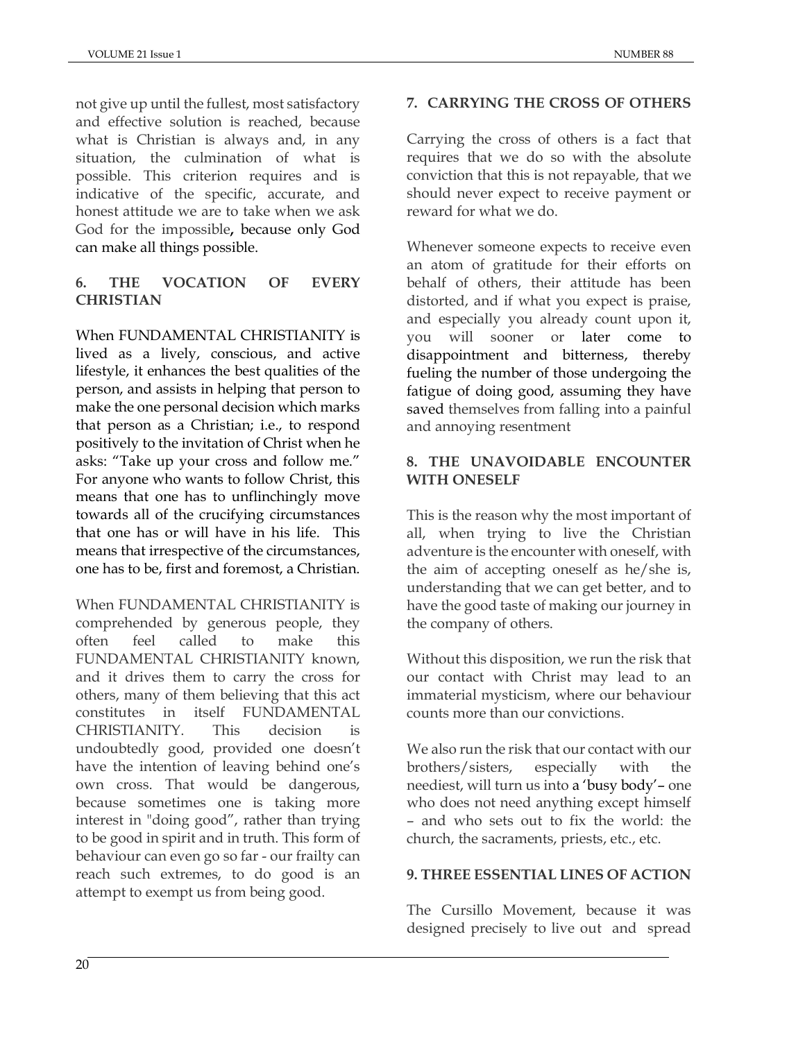not give up until the fullest, most satisfactory and effective solution is reached, because what is Christian is always and, in any situation, the culmination of what is possible. This criterion requires and is indicative of the specific, accurate, and honest attitude we are to take when we ask God for the impossible**,** because only God can make all things possible.

# **6. THE VOCATION OF EVERY CHRISTIAN**

When FUNDAMENTAL CHRISTIANITY is lived as a lively, conscious, and active lifestyle, it enhances the best qualities of the person, and assists in helping that person to make the one personal decision which marks that person as a Christian; i.e., to respond positively to the invitation of Christ when he asks: "Take up your cross and follow me." For anyone who wants to follow Christ, this means that one has to unflinchingly move towards all of the crucifying circumstances that one has or will have in his life. This means that irrespective of the circumstances, one has to be, first and foremost, a Christian.

When FUNDAMENTAL CHRISTIANITY is comprehended by generous people, they often feel called to make this FUNDAMENTAL CHRISTIANITY known, and it drives them to carry the cross for others, many of them believing that this act constitutes in itself FUNDAMENTAL CHRISTIANITY. This decision is undoubtedly good, provided one doesn't have the intention of leaving behind one's own cross. That would be dangerous, because sometimes one is taking more interest in "doing good", rather than trying to be good in spirit and in truth. This form of behaviour can even go so far - our frailty can reach such extremes, to do good is an attempt to exempt us from being good.

# **7. CARRYING THE CROSS OF OTHERS**

Carrying the cross of others is a fact that requires that we do so with the absolute conviction that this is not repayable, that we should never expect to receive payment or reward for what we do.

Whenever someone expects to receive even an atom of gratitude for their efforts on behalf of others, their attitude has been distorted, and if what you expect is praise, and especially you already count upon it, you will sooner or later come to disappointment and bitterness, thereby fueling the number of those undergoing the fatigue of doing good, assuming they have saved themselves from falling into a painful and annoying resentment

# **8. THE UNAVOIDABLE ENCOUNTER WITH ONESELF**

This is the reason why the most important of all, when trying to live the Christian adventure is the encounter with oneself, with the aim of accepting oneself as he/she is, understanding that we can get better, and to have the good taste of making our journey in the company of others.

Without this disposition, we run the risk that our contact with Christ may lead to an immaterial mysticism, where our behaviour counts more than our convictions.

We also run the risk that our contact with our brothers/sisters, especially with neediest, will turn us into a 'busy body'– one who does not need anything except himself – and who sets out to fix the world: the church, the sacraments, priests, etc., etc.

# **9. THREE ESSENTIAL LINES OF ACTION**

The Cursillo Movement, because it was designed precisely to live out and spread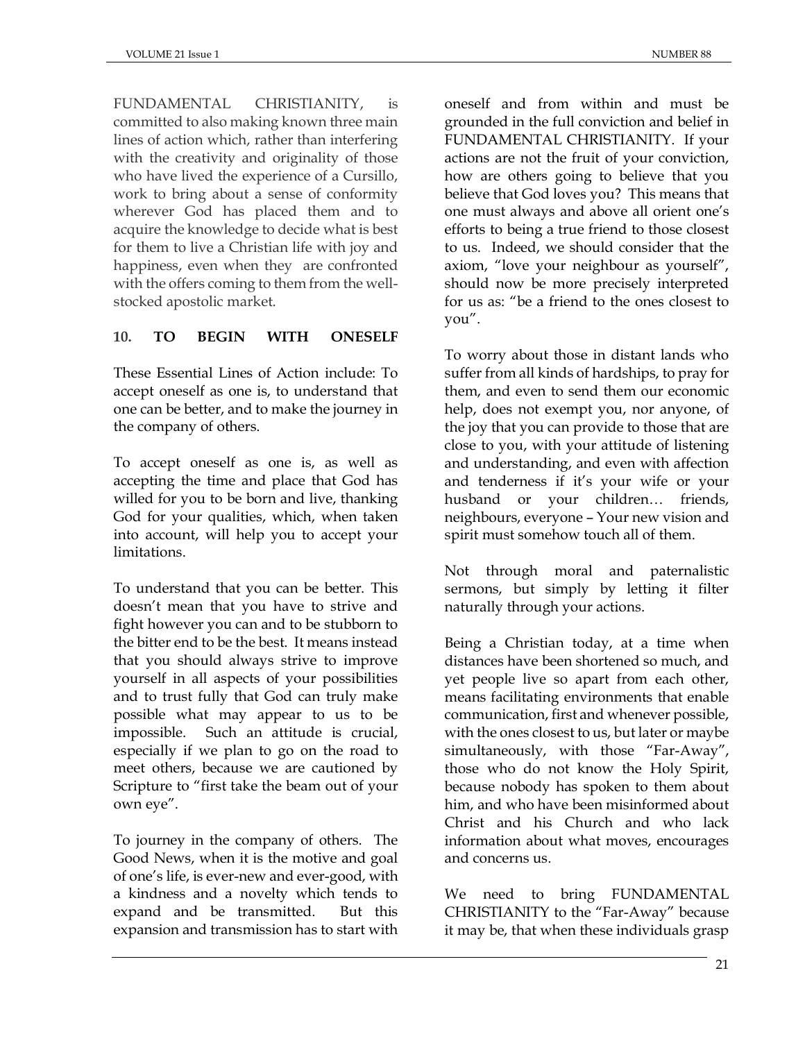FUNDAMENTAL CHRISTIANITY, is committed to also making known three main lines of action which, rather than interfering with the creativity and originality of those who have lived the experience of a Cursillo, work to bring about a sense of conformity wherever God has placed them and to acquire the knowledge to decide what is best for them to live a Christian life with joy and happiness, even when they are confronted with the offers coming to them from the wellstocked apostolic market.

# **10. TO BEGIN WITH ONESELF**

These Essential Lines of Action include: To accept oneself as one is, to understand that one can be better, and to make the journey in the company of others.

To accept oneself as one is, as well as accepting the time and place that God has willed for you to be born and live, thanking God for your qualities, which, when taken into account, will help you to accept your limitations.

To understand that you can be better. This doesn't mean that you have to strive and fight however you can and to be stubborn to the bitter end to be the best. It means instead that you should always strive to improve yourself in all aspects of your possibilities and to trust fully that God can truly make possible what may appear to us to be impossible. Such an attitude is crucial, especially if we plan to go on the road to meet others, because we are cautioned by Scripture to "first take the beam out of your own eye".

To journey in the company of others. The Good News, when it is the motive and goal of one's life, is ever-new and ever-good, with a kindness and a novelty which tends to expand and be transmitted. But this expansion and transmission has to start with oneself and from within and must be grounded in the full conviction and belief in FUNDAMENTAL CHRISTIANITY. If your actions are not the fruit of your conviction, how are others going to believe that you believe that God loves you? This means that one must always and above all orient one's efforts to being a true friend to those closest to us. Indeed, we should consider that the axiom, "love your neighbour as yourself", should now be more precisely interpreted for us as: "be a friend to the ones closest to you".

To worry about those in distant lands who suffer from all kinds of hardships, to pray for them, and even to send them our economic help, does not exempt you, nor anyone, of the joy that you can provide to those that are close to you, with your attitude of listening and understanding, and even with affection and tenderness if it's your wife or your husband or your children… friends, neighbours, everyone – Your new vision and spirit must somehow touch all of them.

Not through moral and paternalistic sermons, but simply by letting it filter naturally through your actions.

Being a Christian today, at a time when distances have been shortened so much, and yet people live so apart from each other, means facilitating environments that enable communication, first and whenever possible, with the ones closest to us, but later or maybe simultaneously, with those "Far-Away", those who do not know the Holy Spirit, because nobody has spoken to them about him, and who have been misinformed about Christ and his Church and who lack information about what moves, encourages and concerns us.

We need to bring FUNDAMENTAL CHRISTIANITY to the "Far-Away" because it may be, that when these individuals grasp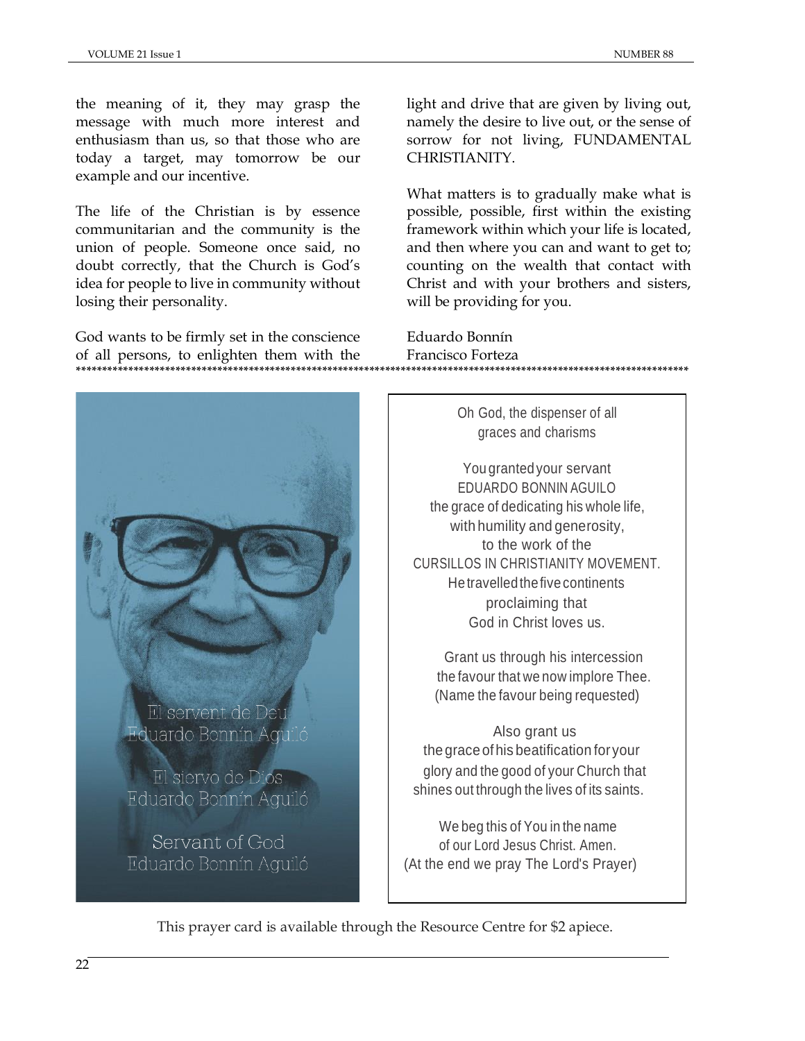the meaning of it, they may grasp the message with much more interest and enthusiasm than us, so that those who are today a target, may tomorrow be our example and our incentive.

The life of the Christian is by essence communitarian and the community is the union of people. Someone once said, no doubt correctly, that the Church is God's idea for people to live in community without losing their personality.

God wants to be firmly set in the conscience of all persons, to enlighten them with the **\*\*\*\*\*\*\*\*\*\*\*\*\*\*\*\*\*\*\*\*\*\*\*\*\*\*\*\*\*\*\*\*\*\*\*\*\*\*\*\*\*\*\*\*\*\*\*\*\*\*\*\*\*\*\*\*\*\*\*\*\*\*\*\*\*\*\*\*\*\*\*\*\*\*\*\*\*\*\*\*\*\*\*\*\*\*\*\*\*\*\*\*\*\*\*\*\*\*\*\*\*\*\*\*\*\*\*\*\*\*\*\*\*\*\*\*\***

El servent de Deu Eduardo Bonnín Aquiló

El siervo de Dios Eduardo Bonnín Aguiló

Servant of God Eduardo Bonnín Aguiló light and drive that are given by living out, namely the desire to live out, or the sense of sorrow for not living, FUNDAMENTAL CHRISTIANITY.

What matters is to gradually make what is possible, possible, first within the existing framework within which your life is located, and then where you can and want to get to; counting on the wealth that contact with Christ and with your brothers and sisters, will be providing for you.

Eduardo Bonnín Francisco Forteza

> Oh God, the dispenser of all graces and charisms

You grantedyour servant EDUARDO BONNIN AGUILO the grace of dedicating his whole life, with humility and generosity, to the work of the CURSILLOS IN CHRISTIANITY MOVEMENT. He travelledthefive continents proclaiming that God in Christ loves us.

Grant us through his intercession the favour that we now implore Thee. (Name the favour being requested)

Also grant us thegraceofhis beatification for your glory and the good of your Church that shines out through the lives of its saints.

We beg this of You in the name of our Lord Jesus Christ. Amen. (At the end we pray The Lord's Prayer)

This prayer card is available through the Resource Centre for \$2 apiece.